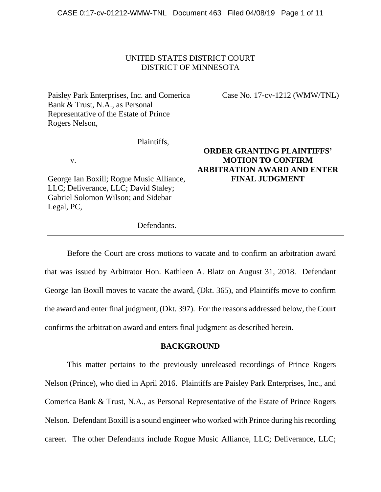# UNITED STATES DISTRICT COURT DISTRICT OF MINNESOTA

Paisley Park Enterprises, Inc. and Comerica Bank & Trust, N.A., as Personal Representative of the Estate of Prince Rogers Nelson,

Plaintiffs,

v.

George Ian Boxill; Rogue Music Alliance, LLC; Deliverance, LLC; David Staley; Gabriel Solomon Wilson; and Sidebar Legal, PC,

**ORDER GRANTING PLAINTIFFS' MOTION TO CONFIRM ARBITRATION AWARD AND ENTER FINAL JUDGMENT**

Case No. 17-cv-1212 (WMW/TNL)

Defendants.

 Before the Court are cross motions to vacate and to confirm an arbitration award that was issued by Arbitrator Hon. Kathleen A. Blatz on August 31, 2018. Defendant George Ian Boxill moves to vacate the award, (Dkt. 365), and Plaintiffs move to confirm the award and enter final judgment, (Dkt. 397). For the reasons addressed below, the Court confirms the arbitration award and enters final judgment as described herein.

### **BACKGROUND**

This matter pertains to the previously unreleased recordings of Prince Rogers Nelson (Prince), who died in April 2016. Plaintiffs are Paisley Park Enterprises, Inc., and Comerica Bank & Trust, N.A., as Personal Representative of the Estate of Prince Rogers Nelson. Defendant Boxill is a sound engineer who worked with Prince during his recording career. The other Defendants include Rogue Music Alliance, LLC; Deliverance, LLC;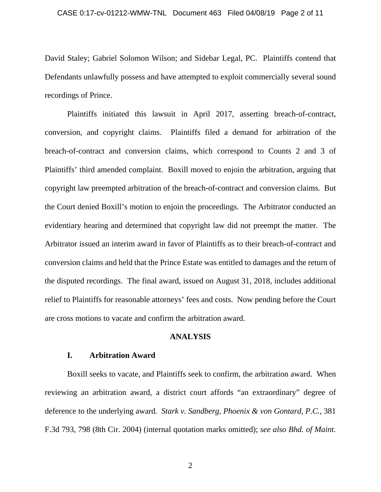#### CASE 0:17-cv-01212-WMW-TNL Document 463 Filed 04/08/19 Page 2 of 11

David Staley; Gabriel Solomon Wilson; and Sidebar Legal, PC. Plaintiffs contend that Defendants unlawfully possess and have attempted to exploit commercially several sound recordings of Prince.

Plaintiffs initiated this lawsuit in April 2017, asserting breach-of-contract, conversion, and copyright claims. Plaintiffs filed a demand for arbitration of the breach-of-contract and conversion claims, which correspond to Counts 2 and 3 of Plaintiffs' third amended complaint. Boxill moved to enjoin the arbitration, arguing that copyright law preempted arbitration of the breach-of-contract and conversion claims. But the Court denied Boxill's motion to enjoin the proceedings. The Arbitrator conducted an evidentiary hearing and determined that copyright law did not preempt the matter. The Arbitrator issued an interim award in favor of Plaintiffs as to their breach-of-contract and conversion claims and held that the Prince Estate was entitled to damages and the return of the disputed recordings. The final award, issued on August 31, 2018, includes additional relief to Plaintiffs for reasonable attorneys' fees and costs. Now pending before the Court are cross motions to vacate and confirm the arbitration award.

### **ANALYSIS**

### **I. Arbitration Award**

Boxill seeks to vacate, and Plaintiffs seek to confirm, the arbitration award. When reviewing an arbitration award, a district court affords "an extraordinary" degree of deference to the underlying award. *Stark v. Sandberg, Phoenix & von Gontard, P.C.*, 381 F.3d 793, 798 (8th Cir. 2004) (internal quotation marks omitted); *see also Bhd. of Maint.* 

2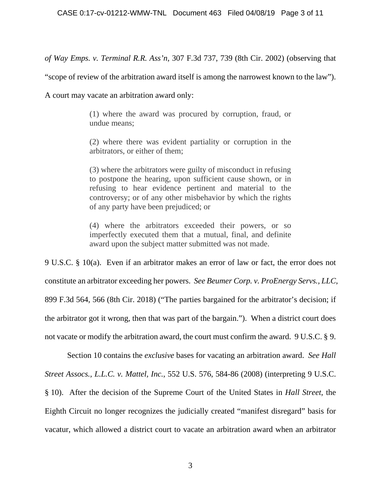*of Way Emps. v. Terminal R.R. Ass'n*, 307 F.3d 737, 739 (8th Cir. 2002) (observing that

"scope of review of the arbitration award itself is among the narrowest known to the law").

A court may vacate an arbitration award only:

(1) where the award was procured by corruption, fraud, or undue means;

(2) where there was evident partiality or corruption in the arbitrators, or either of them;

(3) where the arbitrators were guilty of misconduct in refusing to postpone the hearing, upon sufficient cause shown, or in refusing to hear evidence pertinent and material to the controversy; or of any other misbehavior by which the rights of any party have been prejudiced; or

(4) where the arbitrators exceeded their powers, or so imperfectly executed them that a mutual, final, and definite award upon the subject matter submitted was not made.

9 U.S.C. § 10(a). Even if an arbitrator makes an error of law or fact, the error does not constitute an arbitrator exceeding her powers. *See Beumer Corp. v. ProEnergy Servs., LLC*, 899 F.3d 564, 566 (8th Cir. 2018) ("The parties bargained for the arbitrator's decision; if the arbitrator got it wrong, then that was part of the bargain."). When a district court does not vacate or modify the arbitration award, the court must confirm the award. 9 U.S.C. § 9.

Section 10 contains the *exclusive* bases for vacating an arbitration award. *See Hall Street Assocs., L.L.C. v. Mattel, Inc.*, 552 U.S. 576, 584-86 (2008) (interpreting 9 U.S.C. § 10). After the decision of the Supreme Court of the United States in *Hall Street*, the Eighth Circuit no longer recognizes the judicially created "manifest disregard" basis for vacatur, which allowed a district court to vacate an arbitration award when an arbitrator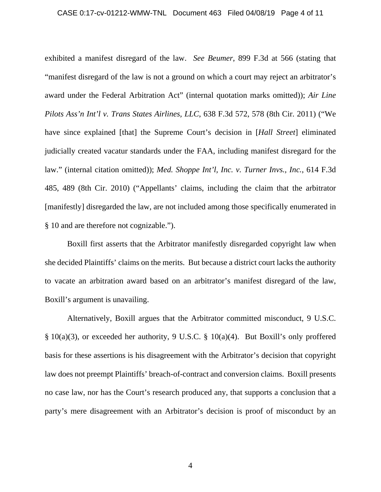#### CASE 0:17-cv-01212-WMW-TNL Document 463 Filed 04/08/19 Page 4 of 11

exhibited a manifest disregard of the law. *See Beumer*, 899 F.3d at 566 (stating that "manifest disregard of the law is not a ground on which a court may reject an arbitrator's award under the Federal Arbitration Act" (internal quotation marks omitted)); *Air Line Pilots Ass'n Int'l v. Trans States Airlines, LLC*, 638 F.3d 572, 578 (8th Cir. 2011) ("We have since explained [that] the Supreme Court's decision in [*Hall Street*] eliminated judicially created vacatur standards under the FAA, including manifest disregard for the law." (internal citation omitted)); *Med. Shoppe Int'l, Inc. v. Turner Invs., Inc.*, 614 F.3d 485, 489 (8th Cir. 2010) ("Appellants' claims, including the claim that the arbitrator [manifestly] disregarded the law, are not included among those specifically enumerated in § 10 and are therefore not cognizable.").

Boxill first asserts that the Arbitrator manifestly disregarded copyright law when she decided Plaintiffs' claims on the merits. But because a district court lacks the authority to vacate an arbitration award based on an arbitrator's manifest disregard of the law, Boxill's argument is unavailing.

Alternatively, Boxill argues that the Arbitrator committed misconduct, 9 U.S.C. § 10(a)(3), or exceeded her authority, 9 U.S.C. § 10(a)(4). But Boxill's only proffered basis for these assertions is his disagreement with the Arbitrator's decision that copyright law does not preempt Plaintiffs' breach-of-contract and conversion claims. Boxill presents no case law, nor has the Court's research produced any, that supports a conclusion that a party's mere disagreement with an Arbitrator's decision is proof of misconduct by an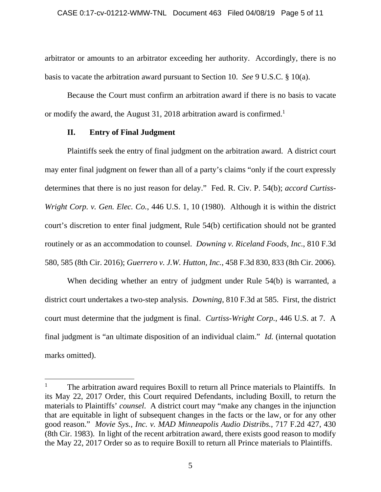arbitrator or amounts to an arbitrator exceeding her authority. Accordingly, there is no basis to vacate the arbitration award pursuant to Section 10. *See* 9 U.S.C. § 10(a).

Because the Court must confirm an arbitration award if there is no basis to vacate or modify the award, the August 31, 2018 arbitration award is confirmed.<sup>1</sup>

# **II. Entry of Final Judgment**

 $\overline{a}$ 

Plaintiffs seek the entry of final judgment on the arbitration award. A district court may enter final judgment on fewer than all of a party's claims "only if the court expressly determines that there is no just reason for delay." Fed. R. Civ. P. 54(b); *accord Curtiss-Wright Corp. v. Gen. Elec. Co.*, 446 U.S. 1, 10 (1980). Although it is within the district court's discretion to enter final judgment, Rule 54(b) certification should not be granted routinely or as an accommodation to counsel. *Downing v. Riceland Foods, Inc.*, 810 F.3d 580, 585 (8th Cir. 2016); *Guerrero v. J.W. Hutton, Inc.*, 458 F.3d 830, 833 (8th Cir. 2006).

When deciding whether an entry of judgment under Rule 54(b) is warranted, a district court undertakes a two-step analysis. *Downing*, 810 F.3d at 585. First, the district court must determine that the judgment is final. *Curtiss-Wright Corp.*, 446 U.S. at 7. A final judgment is "an ultimate disposition of an individual claim." *Id.* (internal quotation marks omitted).

<sup>1</sup> The arbitration award requires Boxill to return all Prince materials to Plaintiffs. In its May 22, 2017 Order, this Court required Defendants, including Boxill, to return the materials to Plaintiffs' *counsel*. A district court may "make any changes in the injunction that are equitable in light of subsequent changes in the facts or the law, or for any other good reason." *Movie Sys., Inc. v. MAD Minneapolis Audio Distribs.*, 717 F.2d 427, 430 (8th Cir. 1983). In light of the recent arbitration award, there exists good reason to modify the May 22, 2017 Order so as to require Boxill to return all Prince materials to Plaintiffs.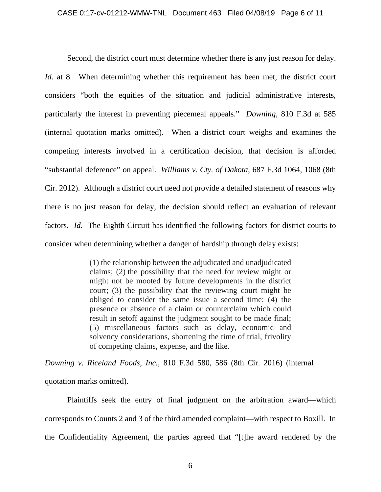Second, the district court must determine whether there is any just reason for delay. *Id.* at 8. When determining whether this requirement has been met, the district court considers "both the equities of the situation and judicial administrative interests, particularly the interest in preventing piecemeal appeals." *Downing*, 810 F.3d at 585 (internal quotation marks omitted). When a district court weighs and examines the competing interests involved in a certification decision, that decision is afforded "substantial deference" on appeal. *Williams v. Cty. of Dakota*, 687 F.3d 1064, 1068 (8th Cir. 2012). Although a district court need not provide a detailed statement of reasons why there is no just reason for delay, the decision should reflect an evaluation of relevant factors. *Id.* The Eighth Circuit has identified the following factors for district courts to consider when determining whether a danger of hardship through delay exists:

> (1) the relationship between the adjudicated and unadjudicated claims; (2) the possibility that the need for review might or might not be mooted by future developments in the district court; (3) the possibility that the reviewing court might be obliged to consider the same issue a second time; (4) the presence or absence of a claim or counterclaim which could result in setoff against the judgment sought to be made final; (5) miscellaneous factors such as delay, economic and solvency considerations, shortening the time of trial, frivolity of competing claims, expense, and the like.

*Downing v. Riceland Foods, Inc.*, 810 F.3d 580, 586 (8th Cir. 2016) (internal quotation marks omitted).

Plaintiffs seek the entry of final judgment on the arbitration award—which corresponds to Counts 2 and 3 of the third amended complaint—with respect to Boxill. In the Confidentiality Agreement, the parties agreed that "[t]he award rendered by the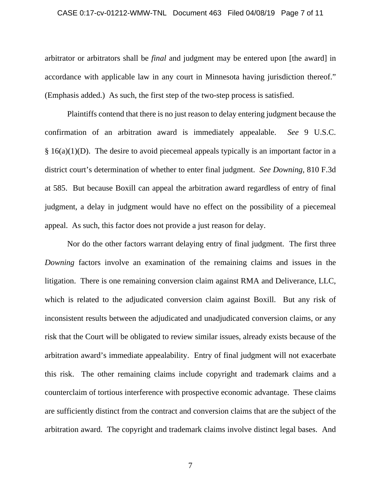#### CASE 0:17-cv-01212-WMW-TNL Document 463 Filed 04/08/19 Page 7 of 11

arbitrator or arbitrators shall be *final* and judgment may be entered upon [the award] in accordance with applicable law in any court in Minnesota having jurisdiction thereof." (Emphasis added.) As such, the first step of the two-step process is satisfied.

Plaintiffs contend that there is no just reason to delay entering judgment because the confirmation of an arbitration award is immediately appealable. *See* 9 U.S.C.  $§ 16(a)(1)(D)$ . The desire to avoid piecemeal appeals typically is an important factor in a district court's determination of whether to enter final judgment. *See Downing*, 810 F.3d at 585. But because Boxill can appeal the arbitration award regardless of entry of final judgment, a delay in judgment would have no effect on the possibility of a piecemeal appeal. As such, this factor does not provide a just reason for delay.

Nor do the other factors warrant delaying entry of final judgment. The first three *Downing* factors involve an examination of the remaining claims and issues in the litigation. There is one remaining conversion claim against RMA and Deliverance, LLC, which is related to the adjudicated conversion claim against Boxill. But any risk of inconsistent results between the adjudicated and unadjudicated conversion claims, or any risk that the Court will be obligated to review similar issues, already exists because of the arbitration award's immediate appealability. Entry of final judgment will not exacerbate this risk. The other remaining claims include copyright and trademark claims and a counterclaim of tortious interference with prospective economic advantage. These claims are sufficiently distinct from the contract and conversion claims that are the subject of the arbitration award. The copyright and trademark claims involve distinct legal bases. And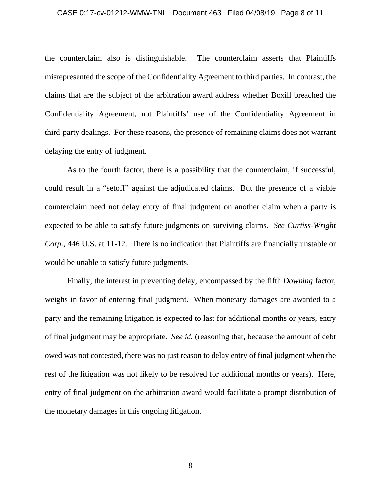#### CASE 0:17-cv-01212-WMW-TNL Document 463 Filed 04/08/19 Page 8 of 11

the counterclaim also is distinguishable. The counterclaim asserts that Plaintiffs misrepresented the scope of the Confidentiality Agreement to third parties. In contrast, the claims that are the subject of the arbitration award address whether Boxill breached the Confidentiality Agreement, not Plaintiffs' use of the Confidentiality Agreement in third-party dealings. For these reasons, the presence of remaining claims does not warrant delaying the entry of judgment.

As to the fourth factor, there is a possibility that the counterclaim, if successful, could result in a "setoff" against the adjudicated claims. But the presence of a viable counterclaim need not delay entry of final judgment on another claim when a party is expected to be able to satisfy future judgments on surviving claims. *See Curtiss-Wright Corp.*, 446 U.S. at 11-12. There is no indication that Plaintiffs are financially unstable or would be unable to satisfy future judgments.

Finally, the interest in preventing delay, encompassed by the fifth *Downing* factor, weighs in favor of entering final judgment. When monetary damages are awarded to a party and the remaining litigation is expected to last for additional months or years, entry of final judgment may be appropriate. *See id.* (reasoning that, because the amount of debt owed was not contested, there was no just reason to delay entry of final judgment when the rest of the litigation was not likely to be resolved for additional months or years). Here, entry of final judgment on the arbitration award would facilitate a prompt distribution of the monetary damages in this ongoing litigation.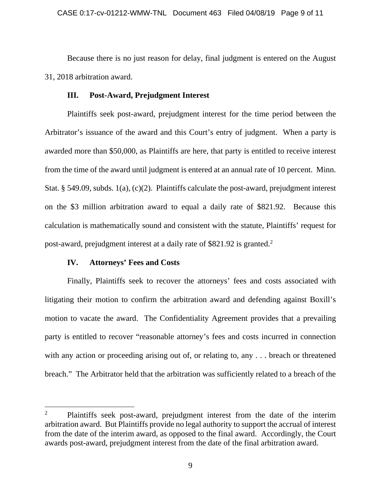Because there is no just reason for delay, final judgment is entered on the August 31, 2018 arbitration award.

# **III. Post-Award, Prejudgment Interest**

Plaintiffs seek post-award, prejudgment interest for the time period between the Arbitrator's issuance of the award and this Court's entry of judgment. When a party is awarded more than \$50,000, as Plaintiffs are here, that party is entitled to receive interest from the time of the award until judgment is entered at an annual rate of 10 percent. Minn. Stat. § 549.09, subds. 1(a), (c)(2). Plaintiffs calculate the post-award, prejudgment interest on the \$3 million arbitration award to equal a daily rate of \$821.92. Because this calculation is mathematically sound and consistent with the statute, Plaintiffs' request for post-award, prejudgment interest at a daily rate of \$821.92 is granted.2

# **IV. Attorneys' Fees and Costs**

 $\overline{a}$ 

Finally, Plaintiffs seek to recover the attorneys' fees and costs associated with litigating their motion to confirm the arbitration award and defending against Boxill's motion to vacate the award. The Confidentiality Agreement provides that a prevailing party is entitled to recover "reasonable attorney's fees and costs incurred in connection with any action or proceeding arising out of, or relating to, any ... breach or threatened breach." The Arbitrator held that the arbitration was sufficiently related to a breach of the

<sup>2</sup> Plaintiffs seek post-award, prejudgment interest from the date of the interim arbitration award. But Plaintiffs provide no legal authority to support the accrual of interest from the date of the interim award, as opposed to the final award. Accordingly, the Court awards post-award, prejudgment interest from the date of the final arbitration award.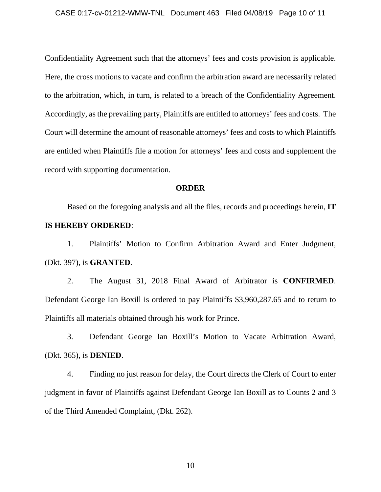Confidentiality Agreement such that the attorneys' fees and costs provision is applicable. Here, the cross motions to vacate and confirm the arbitration award are necessarily related to the arbitration, which, in turn, is related to a breach of the Confidentiality Agreement. Accordingly, as the prevailing party, Plaintiffs are entitled to attorneys' fees and costs. The Court will determine the amount of reasonable attorneys' fees and costs to which Plaintiffs are entitled when Plaintiffs file a motion for attorneys' fees and costs and supplement the record with supporting documentation.

## **ORDER**

Based on the foregoing analysis and all the files, records and proceedings herein, **IT IS HEREBY ORDERED**:

1. Plaintiffs' Motion to Confirm Arbitration Award and Enter Judgment, (Dkt. 397), is **GRANTED**.

2. The August 31, 2018 Final Award of Arbitrator is **CONFIRMED**. Defendant George Ian Boxill is ordered to pay Plaintiffs \$3,960,287.65 and to return to Plaintiffs all materials obtained through his work for Prince.

3. Defendant George Ian Boxill's Motion to Vacate Arbitration Award, (Dkt. 365), is **DENIED**.

4. Finding no just reason for delay, the Court directs the Clerk of Court to enter judgment in favor of Plaintiffs against Defendant George Ian Boxill as to Counts 2 and 3 of the Third Amended Complaint, (Dkt. 262).

10